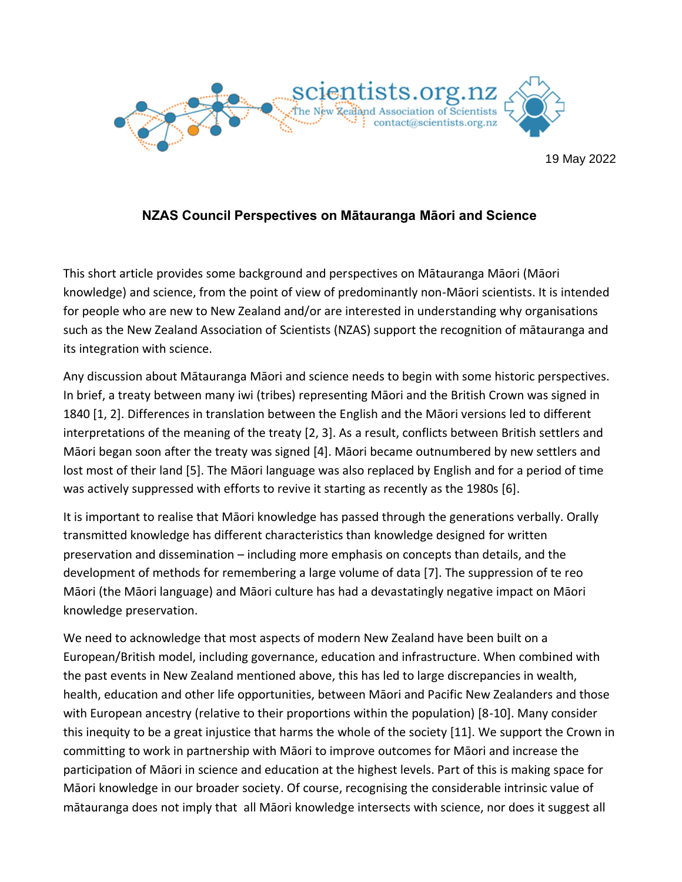

# **NZAS Council Perspectives on Mātauranga Māori and Science**

This short article provides some background and perspectives on Mātauranga Māori (Māori knowledge) and science, from the point of view of predominantly non-Māori scientists. It is intended for people who are new to New Zealand and/or are interested in understanding why organisations such as the New Zealand Association of Scientists (NZAS) support the recognition of mātauranga and its integration with science.

Any discussion about Mātauranga Māori and science needs to begin with some historic perspectives. In brief, a treaty between many iwi (tribes) representing Māori and the British Crown was signed in 1840 [1, 2]. Differences in translation between the English and the Māori versions led to different interpretations of the meaning of the treaty [2, 3]. As a result, conflicts between British settlers and Māori began soon after the treaty was signed [4]. Māori became outnumbered by new settlers and lost most of their land [5]. The Māori language was also replaced by English and for a period of time was actively suppressed with efforts to revive it starting as recently as the 1980s [6].

It is important to realise that Māori knowledge has passed through the generations verbally. Orally transmitted knowledge has different characteristics than knowledge designed for written preservation and dissemination – including more emphasis on concepts than details, and the development of methods for remembering a large volume of data [7]. The suppression of te reo Māori (the Māori language) and Māori culture has had a devastatingly negative impact on Māori knowledge preservation.

We need to acknowledge that most aspects of modern New Zealand have been built on a European/British model, including governance, education and infrastructure. When combined with the past events in New Zealand mentioned above, this has led to large discrepancies in wealth, health, education and other life opportunities, between Māori and Pacific New Zealanders and those with European ancestry (relative to their proportions within the population) [8-10]. Many consider this inequity to be a great injustice that harms the whole of the society [11]. We support the Crown in committing to work in partnership with Māori to improve outcomes for Māori and increase the participation of Māori in science and education at the highest levels. Part of this is making space for Māori knowledge in our broader society. Of course, recognising the considerable intrinsic value of mātauranga does not imply that all Māori knowledge intersects with science, nor does it suggest all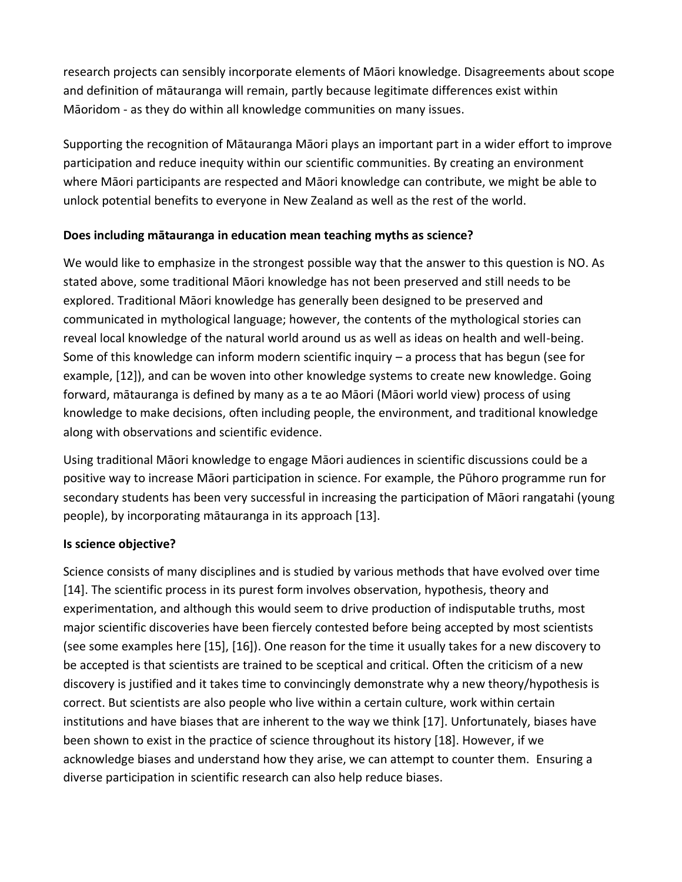research projects can sensibly incorporate elements of Māori knowledge. Disagreements about scope and definition of mātauranga will remain, partly because legitimate differences exist within Māoridom - as they do within all knowledge communities on many issues.

Supporting the recognition of Mātauranga Māori plays an important part in a wider effort to improve participation and reduce inequity within our scientific communities. By creating an environment where Māori participants are respected and Māori knowledge can contribute, we might be able to unlock potential benefits to everyone in New Zealand as well as the rest of the world.

# **Does including mātauranga in education mean teaching myths as science?**

We would like to emphasize in the strongest possible way that the answer to this question is NO. As stated above, some traditional Māori knowledge has not been preserved and still needs to be explored. Traditional Māori knowledge has generally been designed to be preserved and communicated in mythological language; however, the contents of the mythological stories can reveal local knowledge of the natural world around us as well as ideas on health and well-being. Some of this knowledge can inform modern scientific inquiry – a process that has begun (see for example, [12]), and can be woven into other knowledge systems to create new knowledge. Going forward, mātauranga is defined by many as a te ao Māori (Māori world view) process of using knowledge to make decisions, often including people, the environment, and traditional knowledge along with observations and scientific evidence.

Using traditional Māori knowledge to engage Māori audiences in scientific discussions could be a positive way to increase Māori participation in science. For example, the Pūhoro programme run for secondary students has been very successful in increasing the participation of Māori rangatahi (young people), by incorporating mātauranga in its approach [13].

# **Is science objective?**

Science consists of many disciplines and is studied by various methods that have evolved over time [14]. The scientific process in its purest form involves observation, hypothesis, theory and experimentation, and although this would seem to drive production of indisputable truths, most major scientific discoveries have been fiercely contested before being accepted by most scientists (see some examples here [15], [16]). One reason for the time it usually takes for a new discovery to be accepted is that scientists are trained to be sceptical and critical. Often the criticism of a new discovery is justified and it takes time to convincingly demonstrate why a new theory/hypothesis is correct. But scientists are also people who live within a certain culture, work within certain institutions and have biases that are inherent to the way we think [17]. Unfortunately, biases have been shown to exist in the practice of science throughout its history [18]. However, if we acknowledge biases and understand how they arise, we can attempt to counter them. Ensuring a diverse participation in scientific research can also help reduce biases.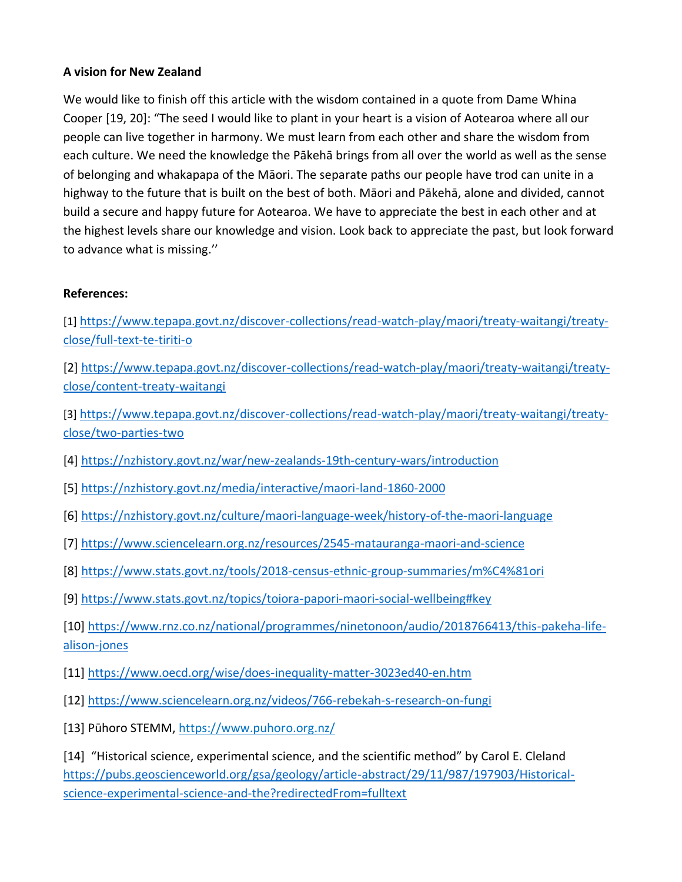### **A vision for New Zealand**

We would like to finish off this article with the wisdom contained in a quote from Dame Whina Cooper [19, 20]: "The seed I would like to plant in your heart is a vision of Aotearoa where all our people can live together in harmony. We must learn from each other and share the wisdom from each culture. We need the knowledge the Pākehā brings from all over the world as well as the sense of belonging and whakapapa of the Māori. The separate paths our people have trod can unite in a highway to the future that is built on the best of both. Māori and Pākehā, alone and divided, cannot build a secure and happy future for Aotearoa. We have to appreciate the best in each other and at the highest levels share our knowledge and vision. Look back to appreciate the past, but look forward to advance what is missing.''

### **References:**

[1] [https://www.tepapa.govt.nz/discover-collections/read-watch-play/maori/treaty-waitangi/treaty](https://www.tepapa.govt.nz/discover-collections/read-watch-play/maori/treaty-waitangi/treaty-close/full-text-te-tiriti-o)[close/full-text-te-tiriti-o](https://www.tepapa.govt.nz/discover-collections/read-watch-play/maori/treaty-waitangi/treaty-close/full-text-te-tiriti-o)

[2] [https://www.tepapa.govt.nz/discover-collections/read-watch-play/maori/treaty-waitangi/treaty](https://www.tepapa.govt.nz/discover-collections/read-watch-play/maori/treaty-waitangi/treaty-close/content-treaty-waitangi)[close/content-treaty-waitangi](https://www.tepapa.govt.nz/discover-collections/read-watch-play/maori/treaty-waitangi/treaty-close/content-treaty-waitangi)

[3] [https://www.tepapa.govt.nz/discover-collections/read-watch-play/maori/treaty-waitangi/treaty](https://www.tepapa.govt.nz/discover-collections/read-watch-play/maori/treaty-waitangi/treaty-close/two-parties-two)[close/two-parties-two](https://www.tepapa.govt.nz/discover-collections/read-watch-play/maori/treaty-waitangi/treaty-close/two-parties-two)

[4]<https://nzhistory.govt.nz/war/new-zealands-19th-century-wars/introduction>

- [5]<https://nzhistory.govt.nz/media/interactive/maori-land-1860-2000>
- [6]<https://nzhistory.govt.nz/culture/maori-language-week/history-of-the-maori-language>
- [7]<https://www.sciencelearn.org.nz/resources/2545-matauranga-maori-and-science>
- [8]<https://www.stats.govt.nz/tools/2018-census-ethnic-group-summaries/m%C4%81ori>
- [9]<https://www.stats.govt.nz/topics/toiora-papori-maori-social-wellbeing#key>

[10] [https://www.rnz.co.nz/national/programmes/ninetonoon/audio/2018766413/this-pakeha-life](https://www.rnz.co.nz/national/programmes/ninetonoon/audio/2018766413/this-pakeha-life-alison-jones)[alison-jones](https://www.rnz.co.nz/national/programmes/ninetonoon/audio/2018766413/this-pakeha-life-alison-jones)

- [11]<https://www.oecd.org/wise/does-inequality-matter-3023ed40-en.htm>
- [12]<https://www.sciencelearn.org.nz/videos/766-rebekah-s-research-on-fungi>
- [13] Pūhoro STEMM, <https://www.puhoro.org.nz/>

[14] "Historical science, experimental science, and the scientific method" by Carol E. Cleland [https://pubs.geoscienceworld.org/gsa/geology/article-abstract/29/11/987/197903/Historical](https://pubs.geoscienceworld.org/gsa/geology/article-abstract/29/11/987/197903/Historical-science-experimental-science-and-the?redirectedFrom=fulltext)[science-experimental-science-and-the?redirectedFrom=fulltext](https://pubs.geoscienceworld.org/gsa/geology/article-abstract/29/11/987/197903/Historical-science-experimental-science-and-the?redirectedFrom=fulltext)